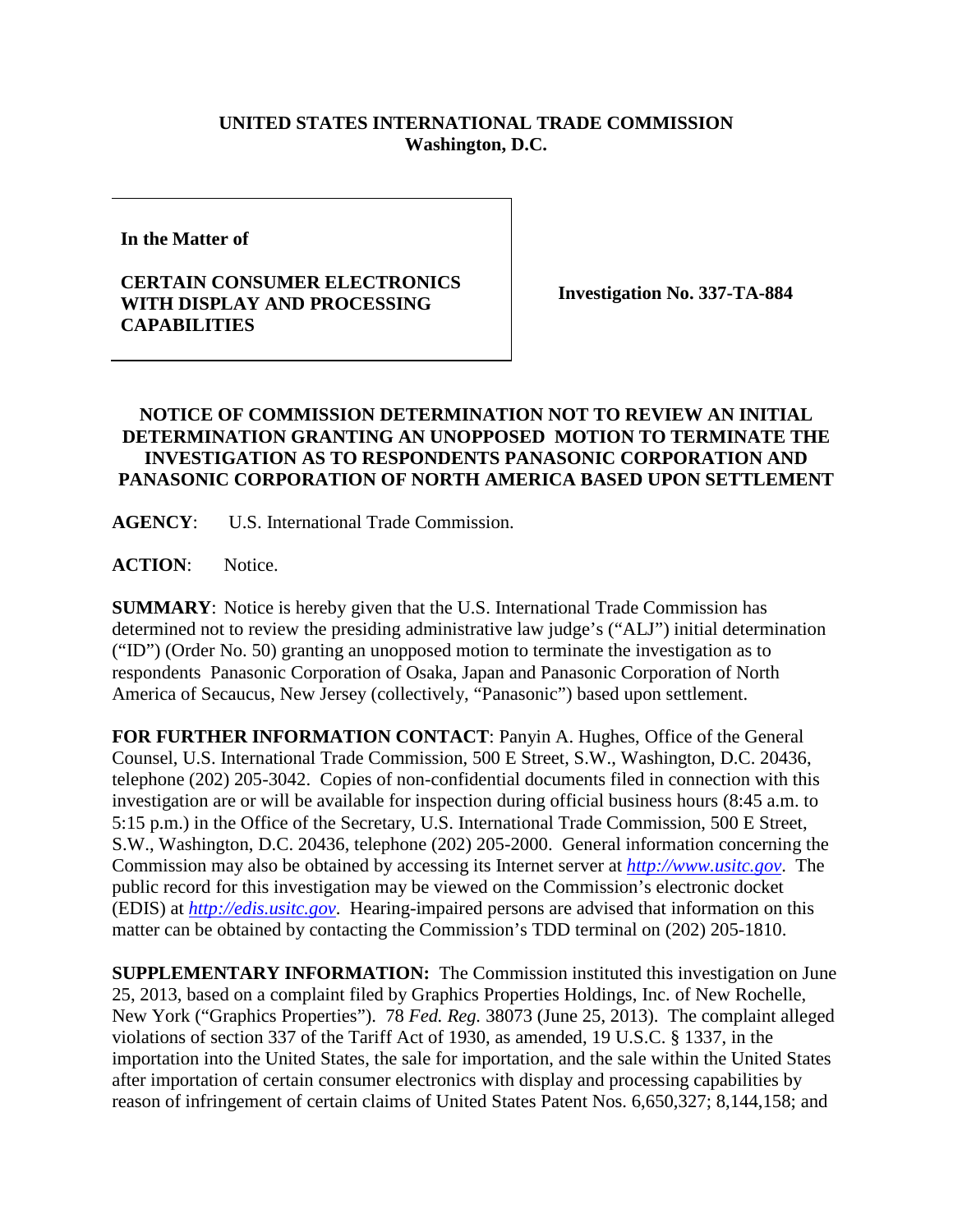## **UNITED STATES INTERNATIONAL TRADE COMMISSION Washington, D.C.**

**In the Matter of** 

## **CERTAIN CONSUMER ELECTRONICS WITH DISPLAY AND PROCESSING CAPABILITIES**

**Investigation No. 337-TA-884**

## **NOTICE OF COMMISSION DETERMINATION NOT TO REVIEW AN INITIAL DETERMINATION GRANTING AN UNOPPOSED MOTION TO TERMINATE THE INVESTIGATION AS TO RESPONDENTS PANASONIC CORPORATION AND PANASONIC CORPORATION OF NORTH AMERICA BASED UPON SETTLEMENT**

**AGENCY**: U.S. International Trade Commission.

ACTION: Notice.

**SUMMARY**: Notice is hereby given that the U.S. International Trade Commission has determined not to review the presiding administrative law judge's ("ALJ") initial determination ("ID") (Order No. 50) granting an unopposed motion to terminate the investigation as to respondents Panasonic Corporation of Osaka, Japan and Panasonic Corporation of North America of Secaucus, New Jersey (collectively, "Panasonic") based upon settlement.

**FOR FURTHER INFORMATION CONTACT**: Panyin A. Hughes, Office of the General Counsel, U.S. International Trade Commission, 500 E Street, S.W., Washington, D.C. 20436, telephone (202) 205-3042. Copies of non-confidential documents filed in connection with this investigation are or will be available for inspection during official business hours (8:45 a.m. to 5:15 p.m.) in the Office of the Secretary, U.S. International Trade Commission, 500 E Street, S.W., Washington, D.C. 20436, telephone (202) 205-2000. General information concerning the Commission may also be obtained by accessing its Internet server at *[http://www.usitc.gov](http://www.usitc.gov/)*. The public record for this investigation may be viewed on the Commission's electronic docket (EDIS) at *[http://edis.usitc.gov](http://edis.usitc.gov/)*. Hearing-impaired persons are advised that information on this matter can be obtained by contacting the Commission's TDD terminal on (202) 205-1810.

**SUPPLEMENTARY INFORMATION:** The Commission instituted this investigation on June 25, 2013, based on a complaint filed by Graphics Properties Holdings, Inc. of New Rochelle, New York ("Graphics Properties"). 78 *Fed. Reg.* 38073 (June 25, 2013). The complaint alleged violations of section 337 of the Tariff Act of 1930, as amended, 19 U.S.C. § 1337, in the importation into the United States, the sale for importation, and the sale within the United States after importation of certain consumer electronics with display and processing capabilities by reason of infringement of certain claims of United States Patent Nos. 6,650,327; 8,144,158; and